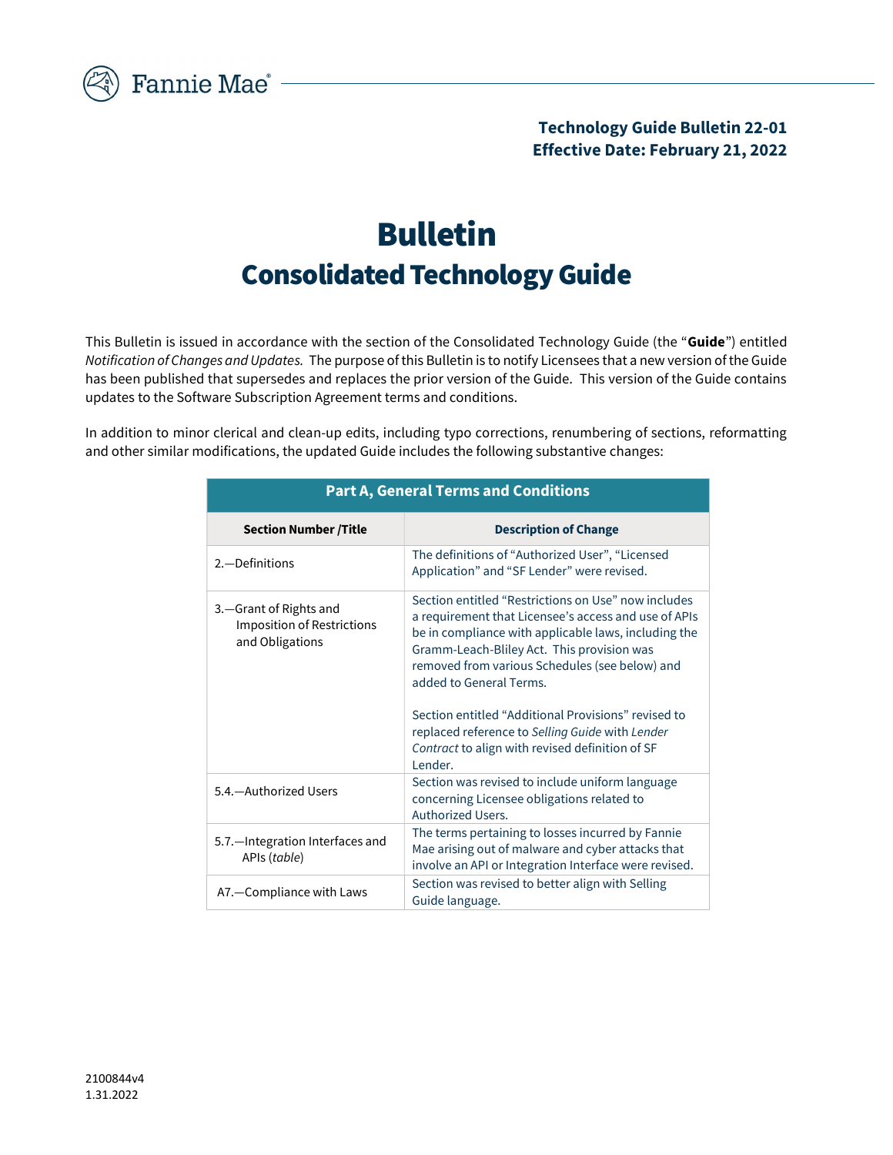

## Bulletin Consolidated Technology Guide

This Bulletin is issued in accordance with the section of the Consolidated Technology Guide (the "Guide") entitled Notification of Changes and Updates. The purpose of this Bulletin is to notify Licensees that a new version of the Guide has been published that supersedes and replaces the prior version of the Guide. This version of the Guide contains updates to the Software Subscription Agreement terms and conditions.

In addition to minor clerical and clean-up edits, including typo corrections, renumbering of sections, reformatting and other similar modifications, the updated Guide includes the following substantive changes:

| <b>Part A, General Terms and Conditions</b>                                      |                                                                                                                                                                                                                                                                                                                                                                                                                                                                        |  |
|----------------------------------------------------------------------------------|------------------------------------------------------------------------------------------------------------------------------------------------------------------------------------------------------------------------------------------------------------------------------------------------------------------------------------------------------------------------------------------------------------------------------------------------------------------------|--|
| <b>Section Number /Title</b>                                                     | <b>Description of Change</b>                                                                                                                                                                                                                                                                                                                                                                                                                                           |  |
| 2. - Definitions                                                                 | The definitions of "Authorized User", "Licensed<br>Application" and "SF Lender" were revised.                                                                                                                                                                                                                                                                                                                                                                          |  |
| 3. - Grant of Rights and<br><b>Imposition of Restrictions</b><br>and Obligations | Section entitled "Restrictions on Use" now includes<br>a requirement that Licensee's access and use of APIs<br>be in compliance with applicable laws, including the<br>Gramm-Leach-Bliley Act. This provision was<br>removed from various Schedules (see below) and<br>added to General Terms.<br>Section entitled "Additional Provisions" revised to<br>replaced reference to Selling Guide with Lender<br>Contract to align with revised definition of SF<br>Lender. |  |
| 5.4. - Authorized Users                                                          | Section was revised to include uniform language<br>concerning Licensee obligations related to<br>Authorized Users.                                                                                                                                                                                                                                                                                                                                                     |  |
| 5.7. - Integration Interfaces and<br>APIs (table)                                | The terms pertaining to losses incurred by Fannie<br>Mae arising out of malware and cyber attacks that<br>involve an API or Integration Interface were revised.                                                                                                                                                                                                                                                                                                        |  |
| A7.-Compliance with Laws                                                         | Section was revised to better align with Selling<br>Guide language.                                                                                                                                                                                                                                                                                                                                                                                                    |  |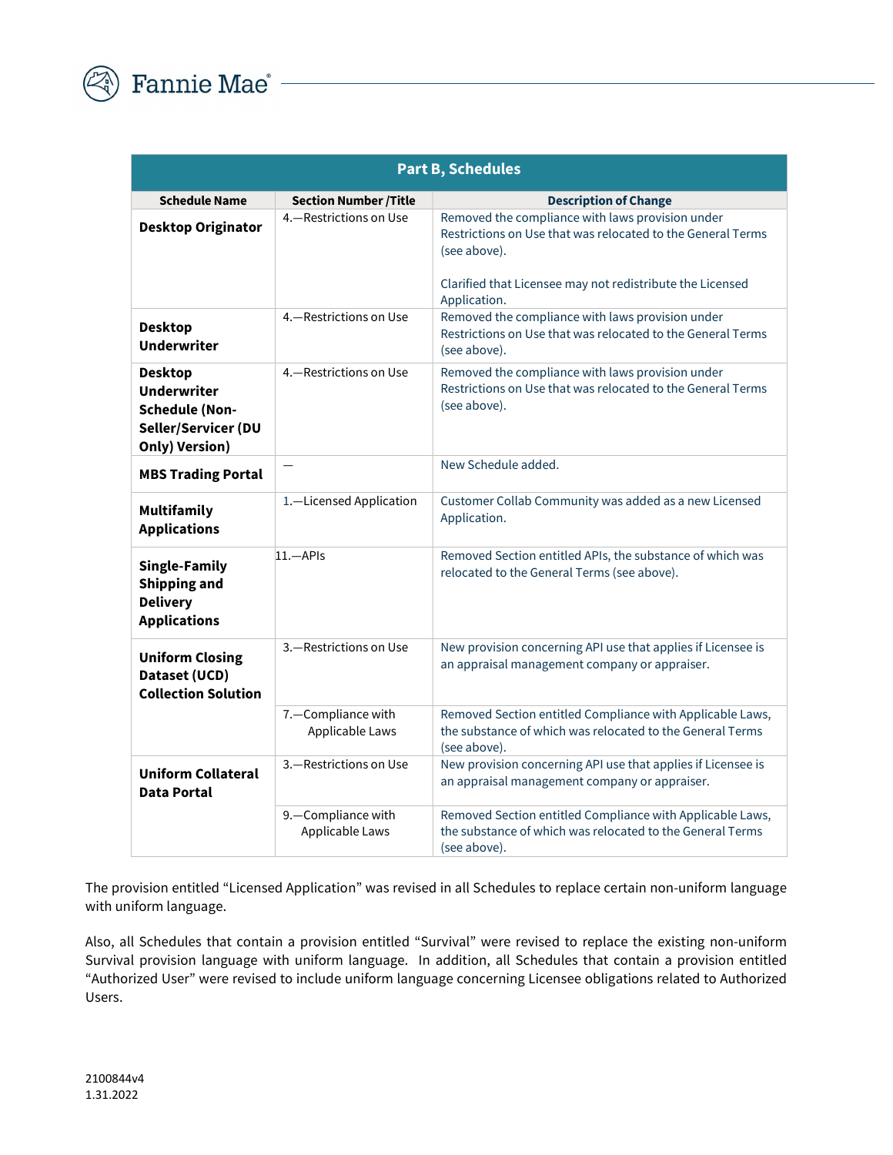

| <b>Part B, Schedules</b>                                                                        |                                         |                                                                                                                                                                                                              |
|-------------------------------------------------------------------------------------------------|-----------------------------------------|--------------------------------------------------------------------------------------------------------------------------------------------------------------------------------------------------------------|
| <b>Schedule Name</b>                                                                            | <b>Section Number /Title</b>            | <b>Description of Change</b>                                                                                                                                                                                 |
| <b>Desktop Originator</b>                                                                       | 4. - Restrictions on Use                | Removed the compliance with laws provision under<br>Restrictions on Use that was relocated to the General Terms<br>(see above).<br>Clarified that Licensee may not redistribute the Licensed<br>Application. |
| <b>Desktop</b><br><b>Underwriter</b>                                                            | 4.-Restrictions on Use                  | Removed the compliance with laws provision under<br>Restrictions on Use that was relocated to the General Terms<br>(see above).                                                                              |
| Desktop<br><b>Underwriter</b><br><b>Schedule (Non-</b><br>Seller/Servicer (DU<br>Only) Version) | 4. - Restrictions on Use                | Removed the compliance with laws provision under<br>Restrictions on Use that was relocated to the General Terms<br>(see above).                                                                              |
| <b>MBS Trading Portal</b>                                                                       |                                         | New Schedule added.                                                                                                                                                                                          |
| <b>Multifamily</b><br><b>Applications</b>                                                       | 1.-Licensed Application                 | Customer Collab Community was added as a new Licensed<br>Application.                                                                                                                                        |
| <b>Single-Family</b><br><b>Shipping and</b><br><b>Delivery</b><br><b>Applications</b>           | $11 - APIs$                             | Removed Section entitled APIs, the substance of which was<br>relocated to the General Terms (see above).                                                                                                     |
| <b>Uniform Closing</b><br>Dataset (UCD)<br><b>Collection Solution</b>                           | 3.-Restrictions on Use                  | New provision concerning API use that applies if Licensee is<br>an appraisal management company or appraiser.                                                                                                |
|                                                                                                 | 7. - Compliance with<br>Applicable Laws | Removed Section entitled Compliance with Applicable Laws,<br>the substance of which was relocated to the General Terms<br>(see above).                                                                       |
| <b>Uniform Collateral</b><br>Data Portal                                                        | 3.-Restrictions on Use                  | New provision concerning API use that applies if Licensee is<br>an appraisal management company or appraiser.                                                                                                |
|                                                                                                 | 9. - Compliance with<br>Applicable Laws | Removed Section entitled Compliance with Applicable Laws,<br>the substance of which was relocated to the General Terms<br>(see above).                                                                       |

The provision entitled "Licensed Application" was revised in all Schedules to replace certain non-uniform language with uniform language.

Also, all Schedules that contain a provision entitled "Survival" were revised to replace the existing non-uniform Survival provision language with uniform language. In addition, all Schedules that contain a provision entitled "Authorized User" were revised to include uniform language concerning Licensee obligations related to Authorized Users.